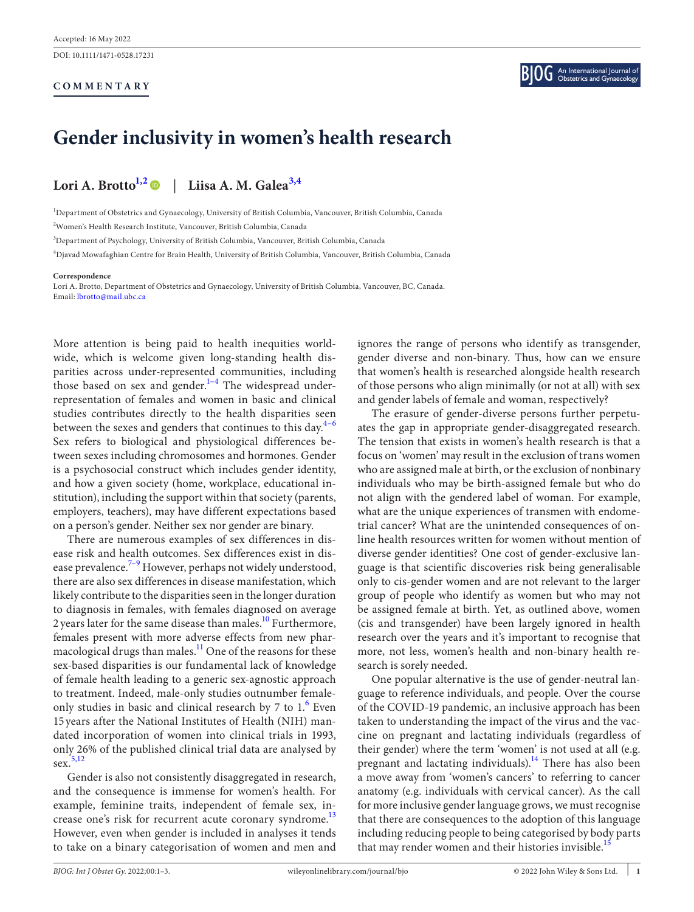DOI: 10.1111/1471-0528.17231

# **COMMENTARY**

# **Gender inclusivity in women's health research**

# **Lori A. Brott[o1,2](#page-0-0)** | **Liisa A. M. Galea[3,4](#page-0-1)**

<span id="page-0-0"></span>1 Department of Obstetrics and Gynaecology, University of British Columbia, Vancouver, British Columbia, Canada 2 Women's Health Research Institute, Vancouver, British Columbia, Canada

<span id="page-0-1"></span>3 Department of Psychology, University of British Columbia, Vancouver, British Columbia, Canada

4 Djavad Mowafaghian Centre for Brain Health, University of British Columbia, Vancouver, British Columbia, Canada

#### **Correspondence**

Lori A. Brotto, Department of Obstetrics and Gynaecology, University of British Columbia, Vancouver, BC, Canada. Email: [lbrotto@mail.ubc.ca](mailto:lbrotto@mail.ubc.ca)

More attention is being paid to health inequities worldwide, which is welcome given long-standing health disparities across under-represented communities, including those based on sex and gender.<sup>1-4</sup> The widespread underrepresentation of females and women in basic and clinical studies contributes directly to the health disparities seen between the sexes and genders that continues to this day. $4-6$ Sex refers to biological and physiological differences between sexes including chromosomes and hormones. Gender is a psychosocial construct which includes gender identity, and how a given society (home, workplace, educational institution), including the support within that society (parents, employers, teachers), may have different expectations based on a person's gender. Neither sex nor gender are binary.

There are numerous examples of sex differences in disease risk and health outcomes. Sex differences exist in disease prevalence.<sup>7-9</sup> However, perhaps not widely understood, there are also sex differences in disease manifestation, which likely contribute to the disparities seen in the longer duration to diagnosis in females, with females diagnosed on average 2 years later for the same disease than males.<sup>[10](#page-2-3)</sup> Furthermore, females present with more adverse effects from new pharmacological drugs than males. $^{11}$  One of the reasons for these sex-based disparities is our fundamental lack of knowledge of female health leading to a generic sex-agnostic approach to treatment. Indeed, male-only studies outnumber female-only studies in basic and clinical research by 7 to 1.<sup>[6](#page-2-5)</sup> Even 15 years after the National Institutes of Health (NIH) mandated incorporation of women into clinical trials in 1993, only 26% of the published clinical trial data are analysed by sex.<sup>[5,12](#page-2-6)</sup>

Gender is also not consistently disaggregated in research, and the consequence is immense for women's health. For example, feminine traits, independent of female sex, increase one's risk for recurrent acute coronary syndrome.<sup>13</sup> However, even when gender is included in analyses it tends to take on a binary categorisation of women and men and

ignores the range of persons who identify as transgender, gender diverse and non-binary. Thus, how can we ensure that women's health is researched alongside health research of those persons who align minimally (or not at all) with sex and gender labels of female and woman, respectively?

The erasure of gender-diverse persons further perpetuates the gap in appropriate gender-disaggregated research. The tension that exists in women's health research is that a focus on 'women' may result in the exclusion of trans women who are assigned male at birth, or the exclusion of nonbinary individuals who may be birth-assigned female but who do not align with the gendered label of woman. For example, what are the unique experiences of transmen with endometrial cancer? What are the unintended consequences of online health resources written for women without mention of diverse gender identities? One cost of gender-exclusive language is that scientific discoveries risk being generalisable only to cis-gender women and are not relevant to the larger group of people who identify as women but who may not be assigned female at birth. Yet, as outlined above, women (cis and transgender) have been largely ignored in health research over the years and it's important to recognise that more, not less, women's health and non-binary health research is sorely needed.

One popular alternative is the use of gender-neutral language to reference individuals, and people. Over the course of the COVID-19 pandemic, an inclusive approach has been taken to understanding the impact of the virus and the vaccine on pregnant and lactating individuals (regardless of their gender) where the term 'women' is not used at all (e.g. pregnant and lactating individuals).<sup>14</sup> There has also been a move away from 'women's cancers' to referring to cancer anatomy (e.g. individuals with cervical cancer). As the call for more inclusive gender language grows, we must recognise that there are consequences to the adoption of this language including reducing people to being categorised by body parts that may render women and their histories invisible.<sup>15</sup>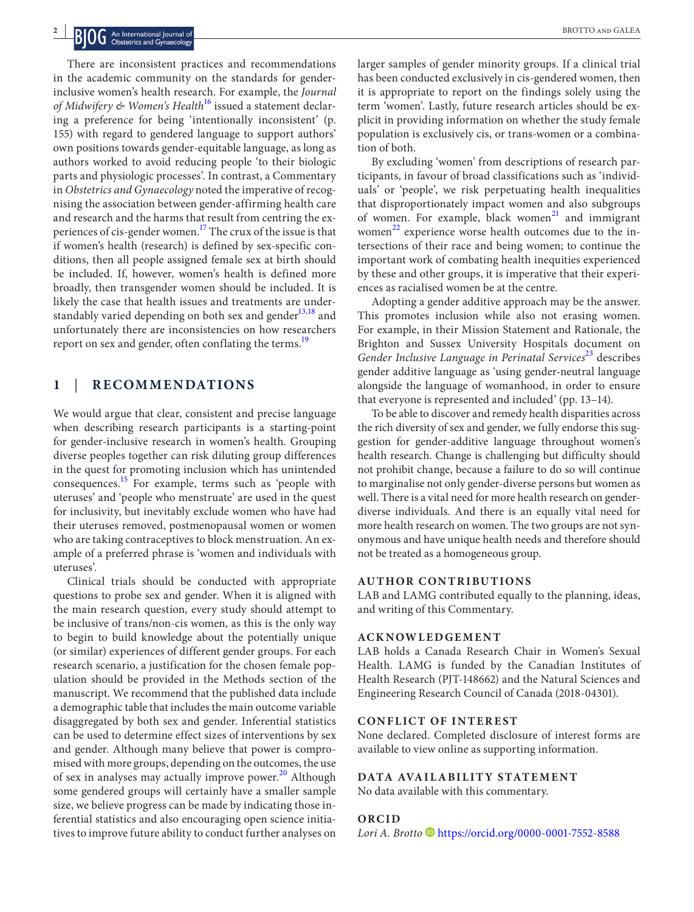There are inconsistent practices and recommendations in the academic community on the standards for genderinclusive women's health research. For example, the *Journal of Midwifery & Women's Health*[16](#page-2-10) issued a statement declaring a preference for being 'intentionally inconsistent' (p. 155) with regard to gendered language to support authors' own positions towards gender-equitable language, as long as authors worked to avoid reducing people 'to their biologic parts and physiologic processes'. In contrast, a Commentary in *Obstetrics and Gynaecology* noted the imperative of recognising the association between gender-affirming health care and research and the harms that result from centring the experiences of cis-gender women.<sup>17</sup> The crux of the issue is that if women's health (research) is defined by sex-specific conditions, then all people assigned female sex at birth should be included. If, however, women's health is defined more broadly, then transgender women should be included. It is likely the case that health issues and treatments are understandably varied depending on both sex and gender $13,18$  and unfortunately there are inconsistencies on how researchers report on sex and gender, often conflating the terms.<sup>19</sup>

# **1** | **RECOMMENDATIONS**

We would argue that clear, consistent and precise language when describing research participants is a starting-point for gender-inclusive research in women's health. Grouping diverse peoples together can risk diluting group differences in the quest for promoting inclusion which has unintended consequences.<sup>15</sup> For example, terms such as 'people with uteruses' and 'people who menstruate' are used in the quest for inclusivity, but inevitably exclude women who have had their uteruses removed, postmenopausal women or women who are taking contraceptives to block menstruation. An example of a preferred phrase is 'women and individuals with uteruses'.

Clinical trials should be conducted with appropriate questions to probe sex and gender. When it is aligned with the main research question, every study should attempt to be inclusive of trans/non-cis women, as this is the only way to begin to build knowledge about the potentially unique (or similar) experiences of different gender groups. For each research scenario, a justification for the chosen female population should be provided in the Methods section of the manuscript. We recommend that the published data include a demographic table that includes the main outcome variable disaggregated by both sex and gender. Inferential statistics can be used to determine effect sizes of interventions by sex and gender. Although many believe that power is compromised with more groups, depending on the outcomes, the use of sex in analyses may actually improve power.<sup>[20](#page-2-13)</sup> Although some gendered groups will certainly have a smaller sample size, we believe progress can be made by indicating those inferential statistics and also encouraging open science initiatives to improve future ability to conduct further analyses on

larger samples of gender minority groups. If a clinical trial has been conducted exclusively in cis-gendered women, then it is appropriate to report on the findings solely using the term 'women'. Lastly, future research articles should be explicit in providing information on whether the study female population is exclusively cis, or trans-women or a combination of both.

By excluding 'women' from descriptions of research participants, in favour of broad classifications such as 'individuals' or 'people', we risk perpetuating health inequalities that disproportionately impact women and also subgroups of women. For example, black women $^{21}$  $^{21}$  $^{21}$  and immigrant women $^{22}$  experience worse health outcomes due to the intersections of their race and being women; to continue the important work of combating health inequities experienced by these and other groups, it is imperative that their experiences as racialised women be at the centre.

Adopting a gender additive approach may be the answer. This promotes inclusion while also not erasing women. For example, in their Mission Statement and Rationale, the Brighton and Sussex University Hospitals document on Gender Inclusive Language in Perinatal Services<sup>[23](#page-2-16)</sup> describes gender additive language as 'using gender-neutral language alongside the language of womanhood, in order to ensure that everyone is represented and included' (pp. 13–14).

To be able to discover and remedy health disparities across the rich diversity of sex and gender, we fully endorse this suggestion for gender-additive language throughout women's health research. Change is challenging but difficulty should not prohibit change, because a failure to do so will continue to marginalise not only gender-diverse persons but women as well. There is a vital need for more health research on genderdiverse individuals. And there is an equally vital need for more health research on women. The two groups are not synonymous and have unique health needs and therefore should not be treated as a homogeneous group.

### **AUTHOR CONTRIBUTIONS**

LAB and LAMG contributed equally to the planning, ideas, and writing of this Commentary.

# **ACKNOWLEDGEMENT**

LAB holds a Canada Research Chair in Women's Sexual Health. LAMG is funded by the Canadian Institutes of Health Research (PJT-148662) and the Natural Sciences and Engineering Research Council of Canada (2018-04301).

#### **CONFLICT OF INTEREST**

None declared. Completed disclosure of interest forms are available to view online as supporting information.

#### **DATA AVAILABILITY STATEMENT**

No data available with this commentary.

#### **ORCID**

*Lori A. Brotto* <https://orcid.org/0000-0001-7552-8588>